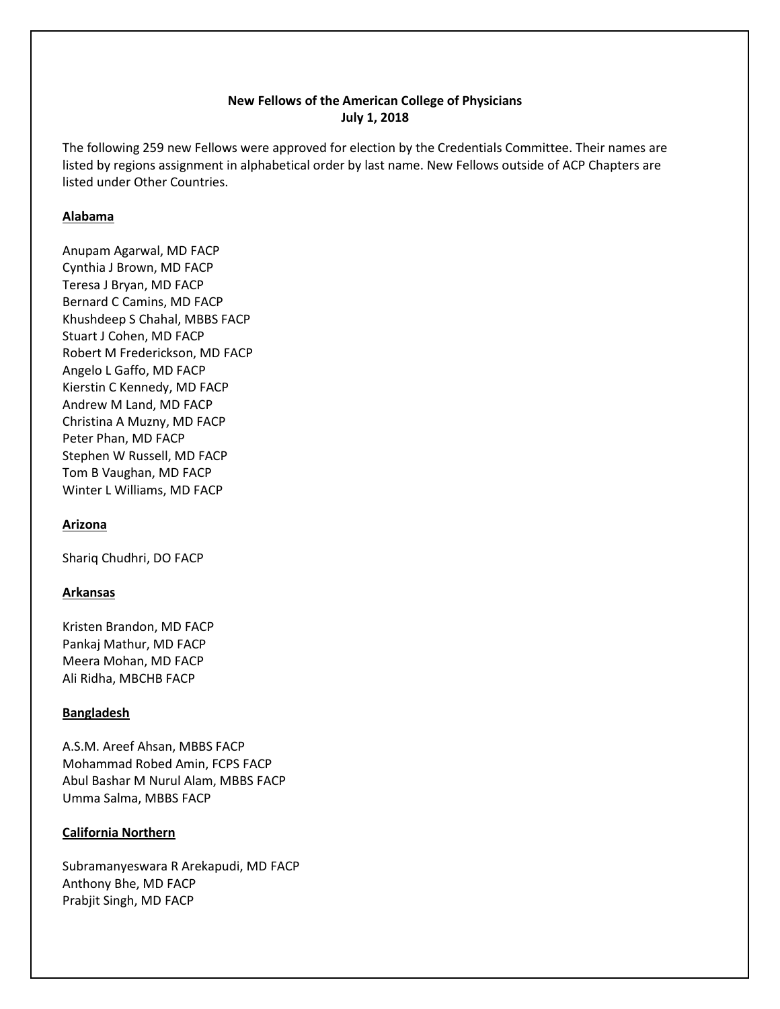# **New Fellows of the American College of Physicians July 1, 2018**

The following 259 new Fellows were approved for election by the Credentials Committee. Their names are listed by regions assignment in alphabetical order by last name. New Fellows outside of ACP Chapters are listed under Other Countries.

# **Alabama**

Anupam Agarwal, MD FACP Cynthia J Brown, MD FACP Teresa J Bryan, MD FACP Bernard C Camins, MD FACP Khushdeep S Chahal, MBBS FACP Stuart J Cohen, MD FACP Robert M Frederickson, MD FACP Angelo L Gaffo, MD FACP Kierstin C Kennedy, MD FACP Andrew M Land, MD FACP Christina A Muzny, MD FACP Peter Phan, MD FACP Stephen W Russell, MD FACP Tom B Vaughan, MD FACP Winter L Williams, MD FACP

### **Arizona**

Shariq Chudhri, DO FACP

# **Arkansas**

Kristen Brandon, MD FACP Pankaj Mathur, MD FACP Meera Mohan, MD FACP Ali Ridha, MBCHB FACP

### **Bangladesh**

A.S.M. Areef Ahsan, MBBS FACP Mohammad Robed Amin, FCPS FACP Abul Bashar M Nurul Alam, MBBS FACP Umma Salma, MBBS FACP

### **California Northern**

Subramanyeswara R Arekapudi, MD FACP Anthony Bhe, MD FACP Prabjit Singh, MD FACP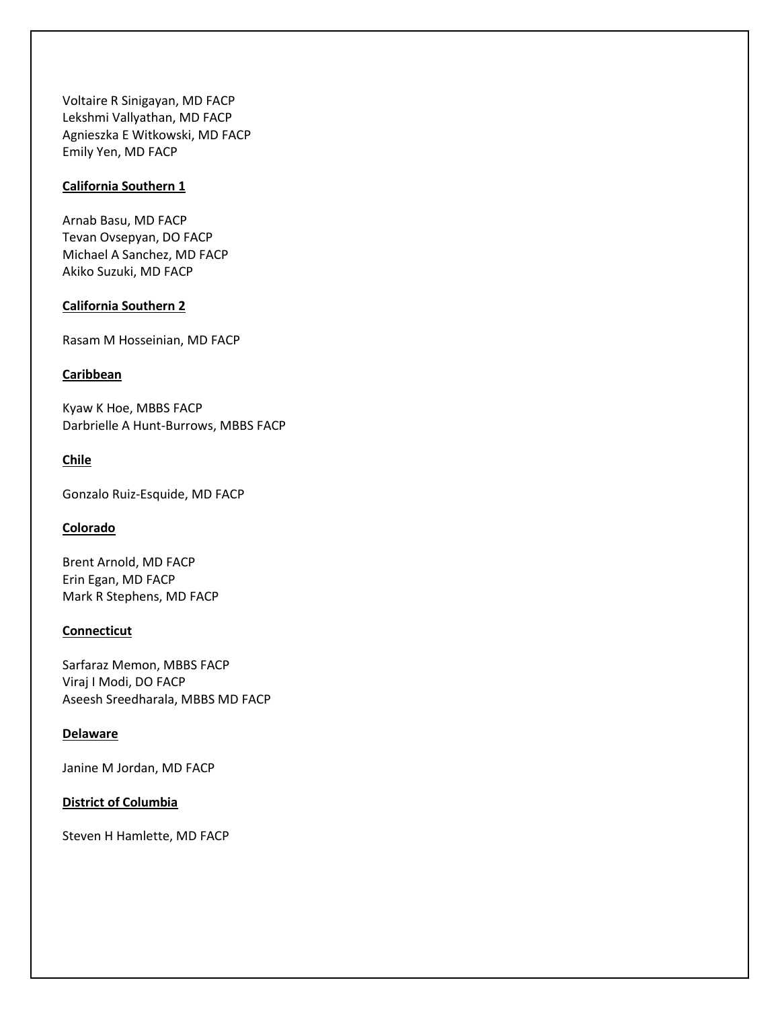Voltaire R Sinigayan, MD FACP Lekshmi Vallyathan, MD FACP Agnieszka E Witkowski, MD FACP Emily Yen, MD FACP

# **California Southern 1**

Arnab Basu, MD FACP Tevan Ovsepyan, DO FACP Michael A Sanchez, MD FACP Akiko Suzuki, MD FACP

### **California Southern 2**

Rasam M Hosseinian, MD FACP

#### **Caribbean**

Kyaw K Hoe, MBBS FACP Darbrielle A Hunt-Burrows, MBBS FACP

### **Chile**

Gonzalo Ruiz-Esquide, MD FACP

## **Colorado**

Brent Arnold, MD FACP Erin Egan, MD FACP Mark R Stephens, MD FACP

## **Connecticut**

Sarfaraz Memon, MBBS FACP Viraj I Modi, DO FACP Aseesh Sreedharala, MBBS MD FACP

### **Delaware**

Janine M Jordan, MD FACP

# **District of Columbia**

Steven H Hamlette, MD FACP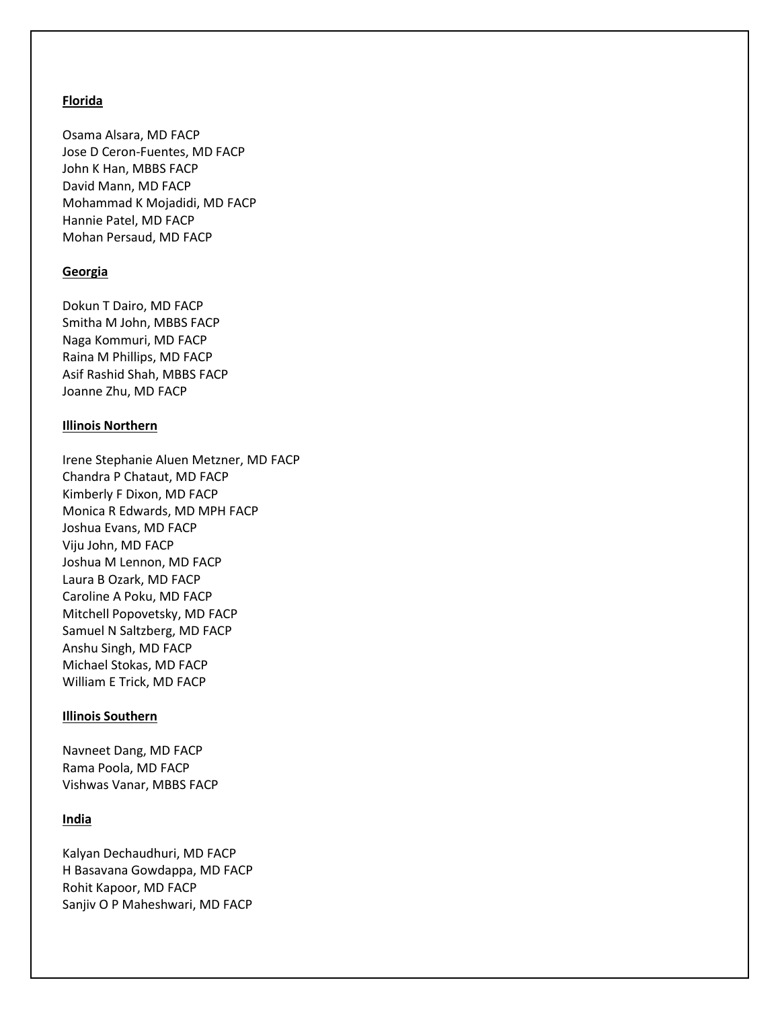### **Florida**

Osama Alsara, MD FACP Jose D Ceron-Fuentes, MD FACP John K Han, MBBS FACP David Mann, MD FACP Mohammad K Mojadidi, MD FACP Hannie Patel, MD FACP Mohan Persaud, MD FACP

### **Georgia**

Dokun T Dairo, MD FACP Smitha M John, MBBS FACP Naga Kommuri, MD FACP Raina M Phillips, MD FACP Asif Rashid Shah, MBBS FACP Joanne Zhu, MD FACP

#### **Illinois Northern**

Irene Stephanie Aluen Metzner, MD FACP Chandra P Chataut, MD FACP Kimberly F Dixon, MD FACP Monica R Edwards, MD MPH FACP Joshua Evans, MD FACP Viju John, MD FACP Joshua M Lennon, MD FACP Laura B Ozark, MD FACP Caroline A Poku, MD FACP Mitchell Popovetsky, MD FACP Samuel N Saltzberg, MD FACP Anshu Singh, MD FACP Michael Stokas, MD FACP William E Trick, MD FACP

### **Illinois Southern**

Navneet Dang, MD FACP Rama Poola, MD FACP Vishwas Vanar, MBBS FACP

### **India**

Kalyan Dechaudhuri, MD FACP H Basavana Gowdappa, MD FACP Rohit Kapoor, MD FACP Sanjiv O P Maheshwari, MD FACP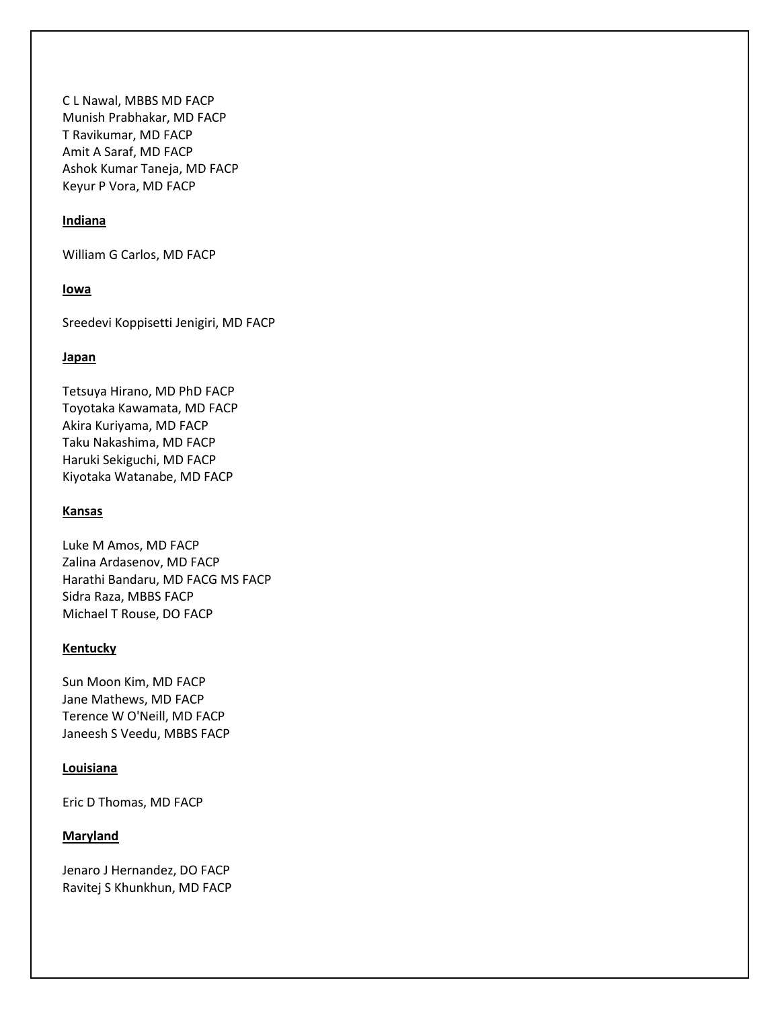C L Nawal, MBBS MD FACP Munish Prabhakar, MD FACP T Ravikumar, MD FACP Amit A Saraf, MD FACP Ashok Kumar Taneja, MD FACP Keyur P Vora, MD FACP

# **Indiana**

William G Carlos, MD FACP

### **Iowa**

Sreedevi Koppisetti Jenigiri, MD FACP

#### **Japan**

Tetsuya Hirano, MD PhD FACP Toyotaka Kawamata, MD FACP Akira Kuriyama, MD FACP Taku Nakashima, MD FACP Haruki Sekiguchi, MD FACP Kiyotaka Watanabe, MD FACP

# **Kansas**

Luke M Amos, MD FACP Zalina Ardasenov, MD FACP Harathi Bandaru, MD FACG MS FACP Sidra Raza, MBBS FACP Michael T Rouse, DO FACP

#### **Kentucky**

Sun Moon Kim, MD FACP Jane Mathews, MD FACP Terence W O'Neill, MD FACP Janeesh S Veedu, MBBS FACP

### **Louisiana**

Eric D Thomas, MD FACP

### **Maryland**

Jenaro J Hernandez, DO FACP Ravitej S Khunkhun, MD FACP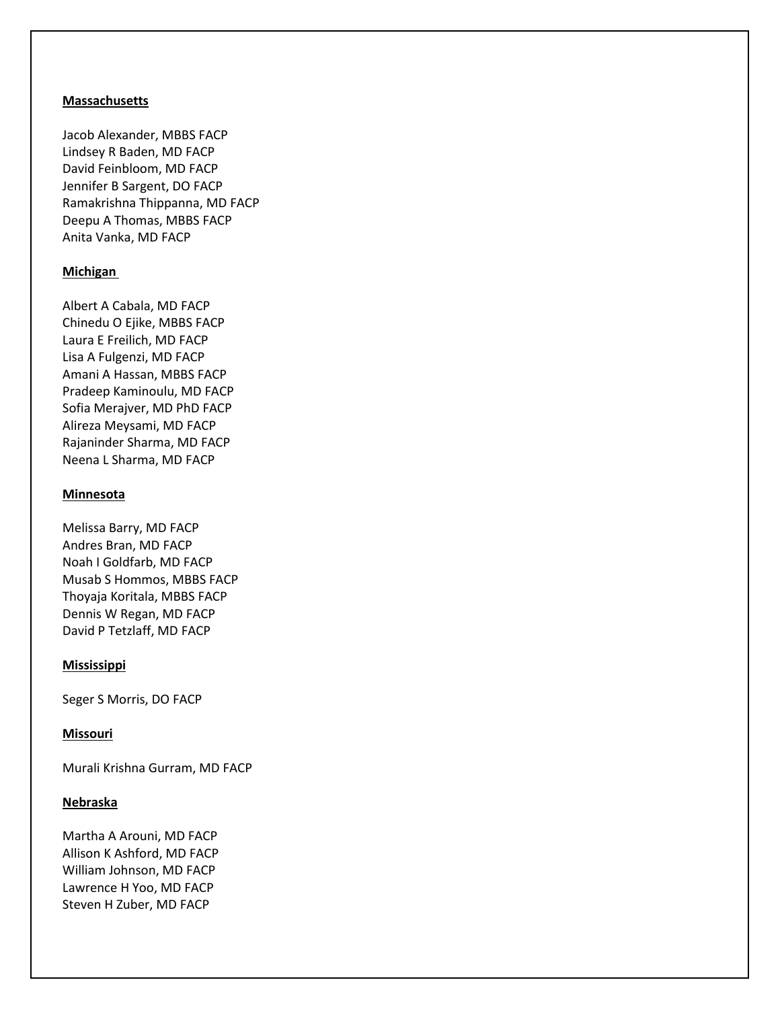### **Massachusetts**

Jacob Alexander, MBBS FACP Lindsey R Baden, MD FACP David Feinbloom, MD FACP Jennifer B Sargent, DO FACP Ramakrishna Thippanna, MD FACP Deepu A Thomas, MBBS FACP Anita Vanka, MD FACP

### **Michigan**

Albert A Cabala, MD FACP Chinedu O Ejike, MBBS FACP Laura E Freilich, MD FACP Lisa A Fulgenzi, MD FACP Amani A Hassan, MBBS FACP Pradeep Kaminoulu, MD FACP Sofia Merajver, MD PhD FACP Alireza Meysami, MD FACP Rajaninder Sharma, MD FACP Neena L Sharma, MD FACP

#### **Minnesota**

Melissa Barry, MD FACP Andres Bran, MD FACP Noah I Goldfarb, MD FACP Musab S Hommos, MBBS FACP Thoyaja Koritala, MBBS FACP Dennis W Regan, MD FACP David P Tetzlaff, MD FACP

#### **Mississippi**

Seger S Morris, DO FACP

#### **Missouri**

Murali Krishna Gurram, MD FACP

### **Nebraska**

Martha A Arouni, MD FACP Allison K Ashford, MD FACP William Johnson, MD FACP Lawrence H Yoo, MD FACP Steven H Zuber, MD FACP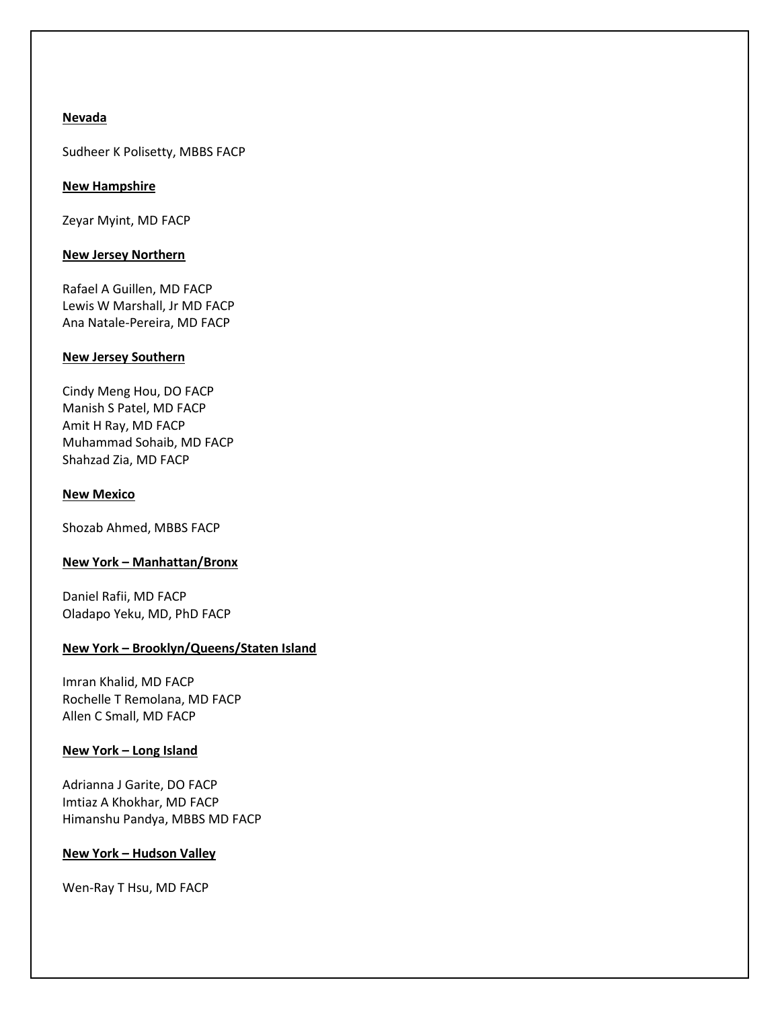## **Nevada**

Sudheer K Polisetty, MBBS FACP

## **New Hampshire**

Zeyar Myint, MD FACP

## **New Jersey Northern**

Rafael A Guillen, MD FACP Lewis W Marshall, Jr MD FACP Ana Natale-Pereira, MD FACP

## **New Jersey Southern**

Cindy Meng Hou, DO FACP Manish S Patel, MD FACP Amit H Ray, MD FACP Muhammad Sohaib, MD FACP Shahzad Zia, MD FACP

### **New Mexico**

Shozab Ahmed, MBBS FACP

# **New York – Manhattan/Bronx**

Daniel Rafii, MD FACP Oladapo Yeku, MD, PhD FACP

# **New York – Brooklyn/Queens/Staten Island**

Imran Khalid, MD FACP Rochelle T Remolana, MD FACP Allen C Small, MD FACP

# **New York – Long Island**

Adrianna J Garite, DO FACP Imtiaz A Khokhar, MD FACP Himanshu Pandya, MBBS MD FACP

# **New York – Hudson Valley**

Wen-Ray T Hsu, MD FACP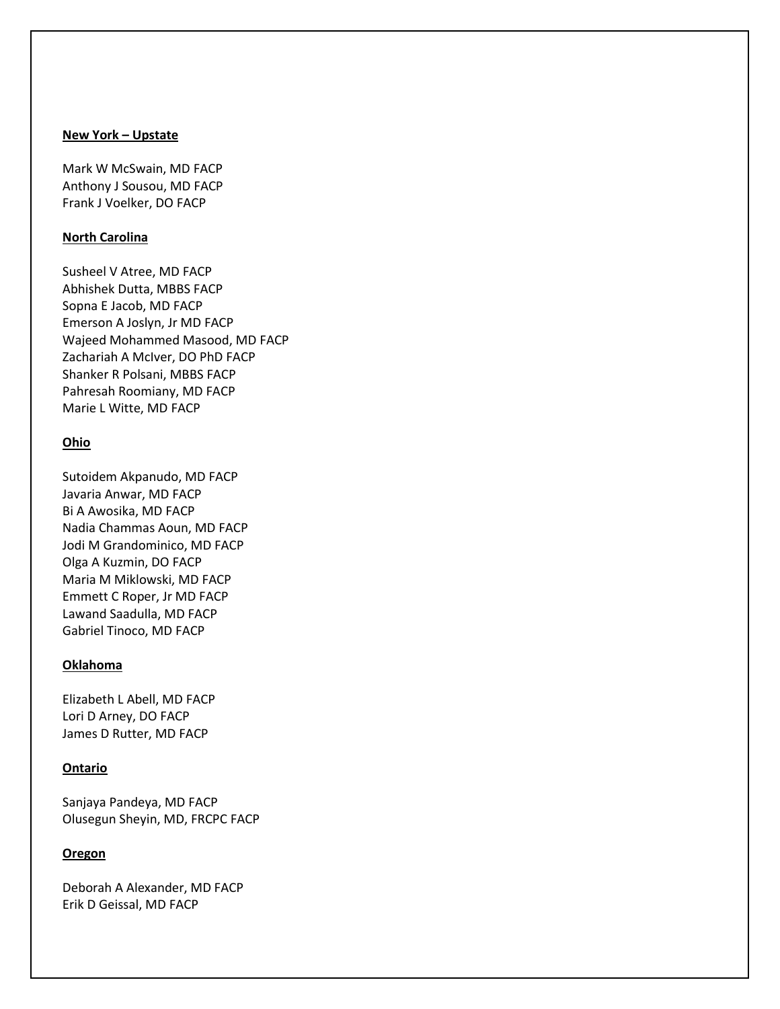### **New York – Upstate**

Mark W McSwain, MD FACP Anthony J Sousou, MD FACP Frank J Voelker, DO FACP

### **North Carolina**

Susheel V Atree, MD FACP Abhishek Dutta, MBBS FACP Sopna E Jacob, MD FACP Emerson A Joslyn, Jr MD FACP Wajeed Mohammed Masood, MD FACP Zachariah A McIver, DO PhD FACP Shanker R Polsani, MBBS FACP Pahresah Roomiany, MD FACP Marie L Witte, MD FACP

## **Ohio**

Sutoidem Akpanudo, MD FACP Javaria Anwar, MD FACP Bi A Awosika, MD FACP Nadia Chammas Aoun, MD FACP Jodi M Grandominico, MD FACP Olga A Kuzmin, DO FACP Maria M Miklowski, MD FACP Emmett C Roper, Jr MD FACP Lawand Saadulla, MD FACP Gabriel Tinoco, MD FACP

## **Oklahoma**

Elizabeth L Abell, MD FACP Lori D Arney, DO FACP James D Rutter, MD FACP

#### **Ontario**

Sanjaya Pandeya, MD FACP Olusegun Sheyin, MD, FRCPC FACP

### **Oregon**

Deborah A Alexander, MD FACP Erik D Geissal, MD FACP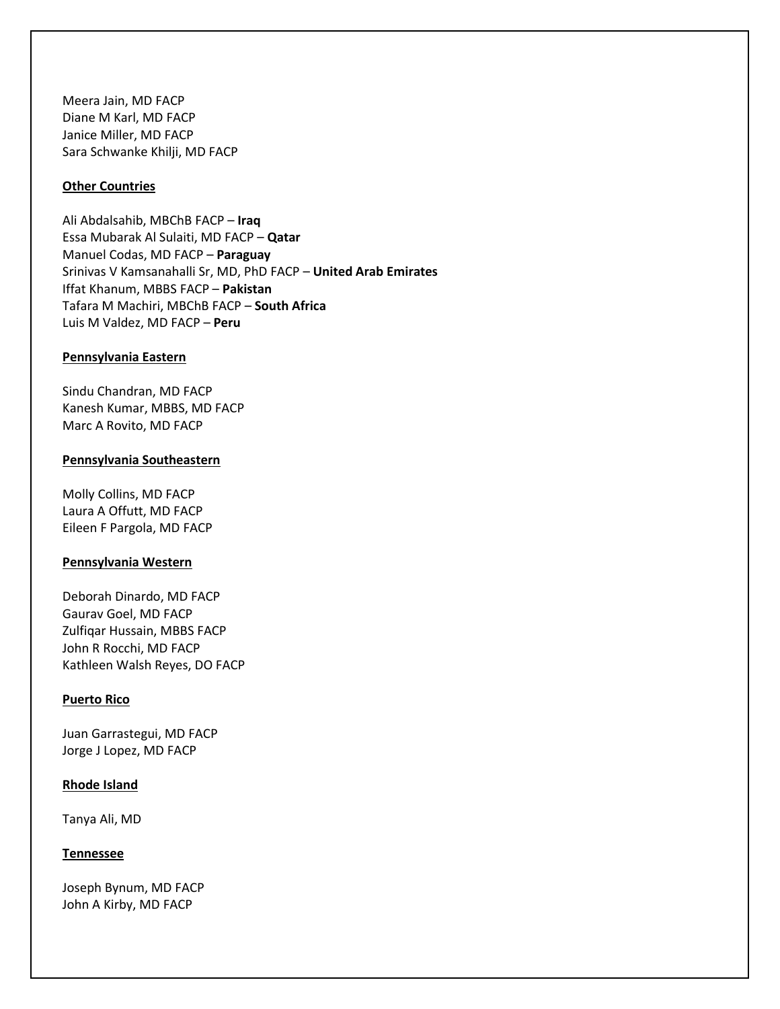Meera Jain, MD FACP Diane M Karl, MD FACP Janice Miller, MD FACP Sara Schwanke Khilji, MD FACP

### **Other Countries**

Ali Abdalsahib, MBChB FACP – **Iraq** Essa Mubarak Al Sulaiti, MD FACP – **Qatar** Manuel Codas, MD FACP – **Paraguay** Srinivas V Kamsanahalli Sr, MD, PhD FACP – **United Arab Emirates** Iffat Khanum, MBBS FACP – **Pakistan** Tafara M Machiri, MBChB FACP – **South Africa** Luis M Valdez, MD FACP – **Peru**

#### **Pennsylvania Eastern**

Sindu Chandran, MD FACP Kanesh Kumar, MBBS, MD FACP Marc A Rovito, MD FACP

#### **Pennsylvania Southeastern**

Molly Collins, MD FACP Laura A Offutt, MD FACP Eileen F Pargola, MD FACP

#### **Pennsylvania Western**

Deborah Dinardo, MD FACP Gaurav Goel, MD FACP Zulfiqar Hussain, MBBS FACP John R Rocchi, MD FACP Kathleen Walsh Reyes, DO FACP

### **Puerto Rico**

Juan Garrastegui, MD FACP Jorge J Lopez, MD FACP

### **Rhode Island**

Tanya Ali, MD

### **Tennessee**

Joseph Bynum, MD FACP John A Kirby, MD FACP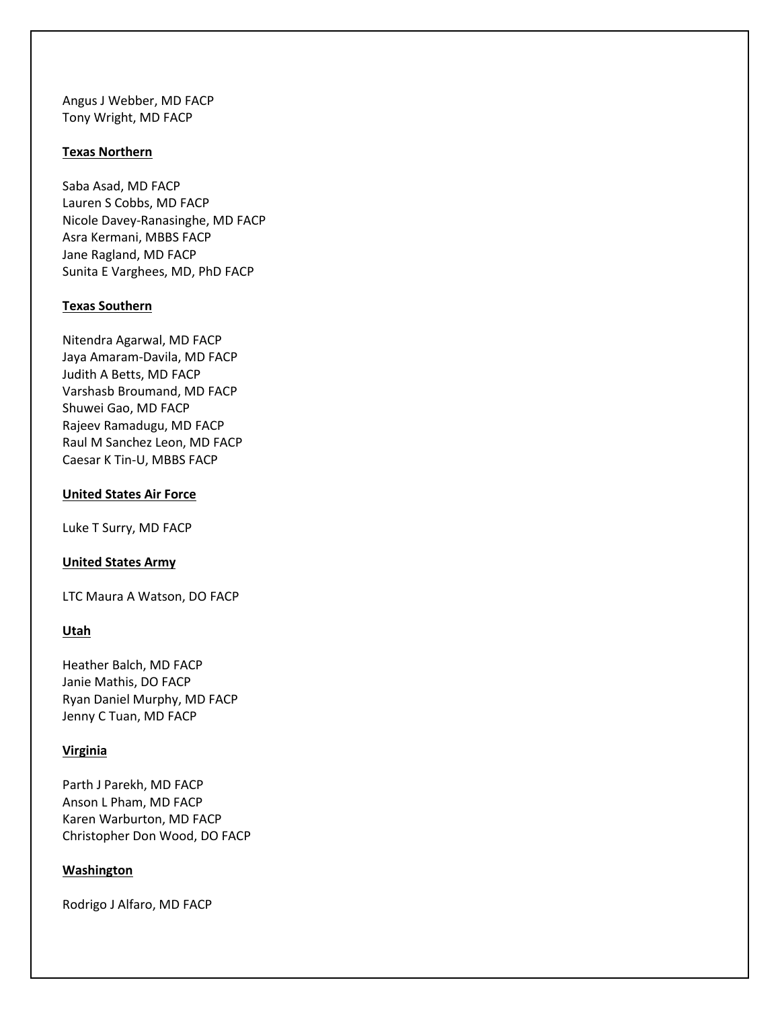Angus J Webber, MD FACP Tony Wright, MD FACP

### **Texas Northern**

Saba Asad, MD FACP Lauren S Cobbs, MD FACP Nicole Davey-Ranasinghe, MD FACP Asra Kermani, MBBS FACP Jane Ragland, MD FACP Sunita E Varghees, MD, PhD FACP

## **Texas Southern**

Nitendra Agarwal, MD FACP Jaya Amaram-Davila, MD FACP Judith A Betts, MD FACP Varshasb Broumand, MD FACP Shuwei Gao, MD FACP Rajeev Ramadugu, MD FACP Raul M Sanchez Leon, MD FACP Caesar K Tin-U, MBBS FACP

## **United States Air Force**

Luke T Surry, MD FACP

### **United States Army**

LTC Maura A Watson, DO FACP

# **Utah**

Heather Balch, MD FACP Janie Mathis, DO FACP Ryan Daniel Murphy, MD FACP Jenny C Tuan, MD FACP

# **Virginia**

Parth J Parekh, MD FACP Anson L Pham, MD FACP Karen Warburton, MD FACP Christopher Don Wood, DO FACP

# **Washington**

Rodrigo J Alfaro, MD FACP